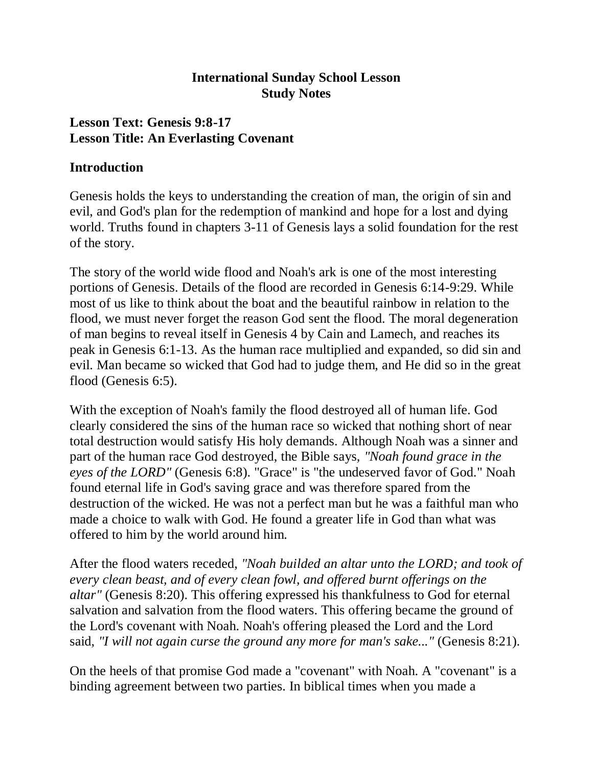### **International Sunday School Lesson Study Notes**

## **Lesson Text: Genesis 9:8-17 Lesson Title: An Everlasting Covenant**

### **Introduction**

Genesis holds the keys to understanding the creation of man, the origin of sin and evil, and God's plan for the redemption of mankind and hope for a lost and dying world. Truths found in chapters 3-11 of Genesis lays a solid foundation for the rest of the story.

The story of the world wide flood and Noah's ark is one of the most interesting portions of Genesis. Details of the flood are recorded in Genesis 6:14-9:29. While most of us like to think about the boat and the beautiful rainbow in relation to the flood, we must never forget the reason God sent the flood. The moral degeneration of man begins to reveal itself in Genesis 4 by Cain and Lamech, and reaches its peak in Genesis 6:1-13. As the human race multiplied and expanded, so did sin and evil. Man became so wicked that God had to judge them, and He did so in the great flood (Genesis 6:5).

With the exception of Noah's family the flood destroyed all of human life. God clearly considered the sins of the human race so wicked that nothing short of near total destruction would satisfy His holy demands. Although Noah was a sinner and part of the human race God destroyed, the Bible says, *"Noah found grace in the eyes of the LORD"* (Genesis 6:8). "Grace" is "the undeserved favor of God." Noah found eternal life in God's saving grace and was therefore spared from the destruction of the wicked. He was not a perfect man but he was a faithful man who made a choice to walk with God. He found a greater life in God than what was offered to him by the world around him.

After the flood waters receded, *"Noah builded an altar unto the LORD; and took of every clean beast, and of every clean fowl, and offered burnt offerings on the altar"* (Genesis 8:20). This offering expressed his thankfulness to God for eternal salvation and salvation from the flood waters. This offering became the ground of the Lord's covenant with Noah. Noah's offering pleased the Lord and the Lord said, *"I will not again curse the ground any more for man's sake..."* (Genesis 8:21).

On the heels of that promise God made a "covenant" with Noah. A "covenant" is a binding agreement between two parties. In biblical times when you made a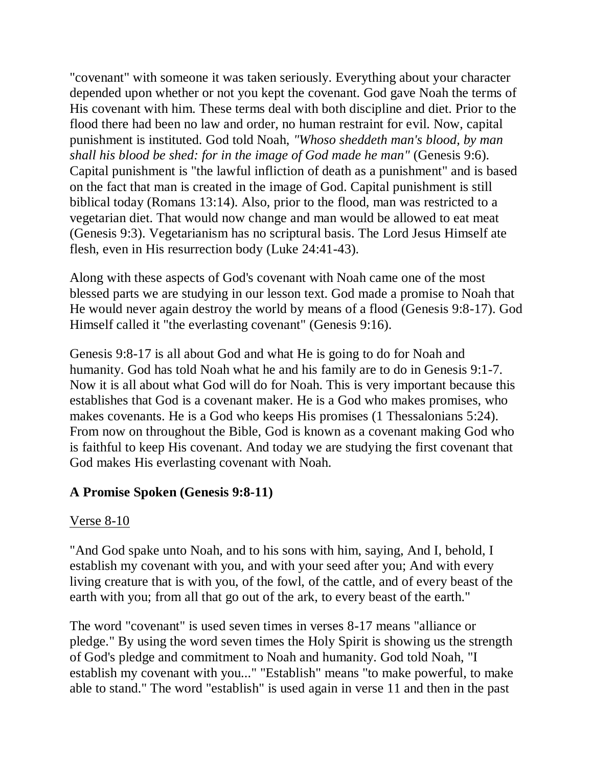"covenant" with someone it was taken seriously. Everything about your character depended upon whether or not you kept the covenant. God gave Noah the terms of His covenant with him. These terms deal with both discipline and diet. Prior to the flood there had been no law and order, no human restraint for evil. Now, capital punishment is instituted. God told Noah, *"Whoso sheddeth man's blood, by man shall his blood be shed: for in the image of God made he man"* (Genesis 9:6). Capital punishment is "the lawful infliction of death as a punishment" and is based on the fact that man is created in the image of God. Capital punishment is still biblical today (Romans 13:14). Also, prior to the flood, man was restricted to a vegetarian diet. That would now change and man would be allowed to eat meat (Genesis 9:3). Vegetarianism has no scriptural basis. The Lord Jesus Himself ate flesh, even in His resurrection body (Luke 24:41-43).

Along with these aspects of God's covenant with Noah came one of the most blessed parts we are studying in our lesson text. God made a promise to Noah that He would never again destroy the world by means of a flood (Genesis 9:8-17). God Himself called it "the everlasting covenant" (Genesis 9:16).

Genesis 9:8-17 is all about God and what He is going to do for Noah and humanity. God has told Noah what he and his family are to do in Genesis 9:1-7. Now it is all about what God will do for Noah. This is very important because this establishes that God is a covenant maker. He is a God who makes promises, who makes covenants. He is a God who keeps His promises (1 Thessalonians 5:24). From now on throughout the Bible, God is known as a covenant making God who is faithful to keep His covenant. And today we are studying the first covenant that God makes His everlasting covenant with Noah.

## **A Promise Spoken (Genesis 9:8-11)**

#### Verse 8-10

"And God spake unto Noah, and to his sons with him, saying, And I, behold, I establish my covenant with you, and with your seed after you; And with every living creature that is with you, of the fowl, of the cattle, and of every beast of the earth with you; from all that go out of the ark, to every beast of the earth."

The word "covenant" is used seven times in verses 8-17 means "alliance or pledge." By using the word seven times the Holy Spirit is showing us the strength of God's pledge and commitment to Noah and humanity. God told Noah, "I establish my covenant with you..." "Establish" means "to make powerful, to make able to stand." The word "establish" is used again in verse 11 and then in the past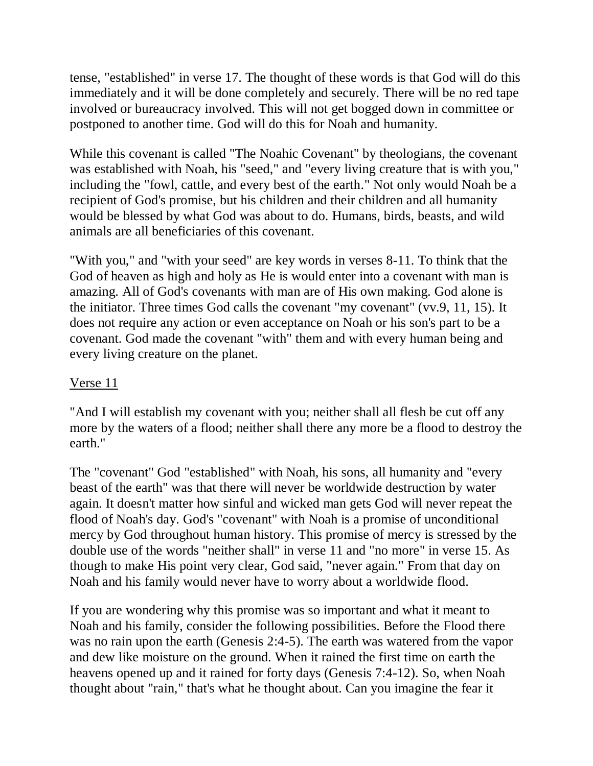tense, "established" in verse 17. The thought of these words is that God will do this immediately and it will be done completely and securely. There will be no red tape involved or bureaucracy involved. This will not get bogged down in committee or postponed to another time. God will do this for Noah and humanity.

While this covenant is called "The Noahic Covenant" by theologians, the covenant was established with Noah, his "seed," and "every living creature that is with you," including the "fowl, cattle, and every best of the earth." Not only would Noah be a recipient of God's promise, but his children and their children and all humanity would be blessed by what God was about to do. Humans, birds, beasts, and wild animals are all beneficiaries of this covenant.

"With you," and "with your seed" are key words in verses 8-11. To think that the God of heaven as high and holy as He is would enter into a covenant with man is amazing. All of God's covenants with man are of His own making. God alone is the initiator. Three times God calls the covenant "my covenant" (vv.9, 11, 15). It does not require any action or even acceptance on Noah or his son's part to be a covenant. God made the covenant "with" them and with every human being and every living creature on the planet.

## Verse 11

"And I will establish my covenant with you; neither shall all flesh be cut off any more by the waters of a flood; neither shall there any more be a flood to destroy the earth."

The "covenant" God "established" with Noah, his sons, all humanity and "every beast of the earth" was that there will never be worldwide destruction by water again. It doesn't matter how sinful and wicked man gets God will never repeat the flood of Noah's day. God's "covenant" with Noah is a promise of unconditional mercy by God throughout human history. This promise of mercy is stressed by the double use of the words "neither shall" in verse 11 and "no more" in verse 15. As though to make His point very clear, God said, "never again." From that day on Noah and his family would never have to worry about a worldwide flood.

If you are wondering why this promise was so important and what it meant to Noah and his family, consider the following possibilities. Before the Flood there was no rain upon the earth (Genesis 2:4-5). The earth was watered from the vapor and dew like moisture on the ground. When it rained the first time on earth the heavens opened up and it rained for forty days (Genesis 7:4-12). So, when Noah thought about "rain," that's what he thought about. Can you imagine the fear it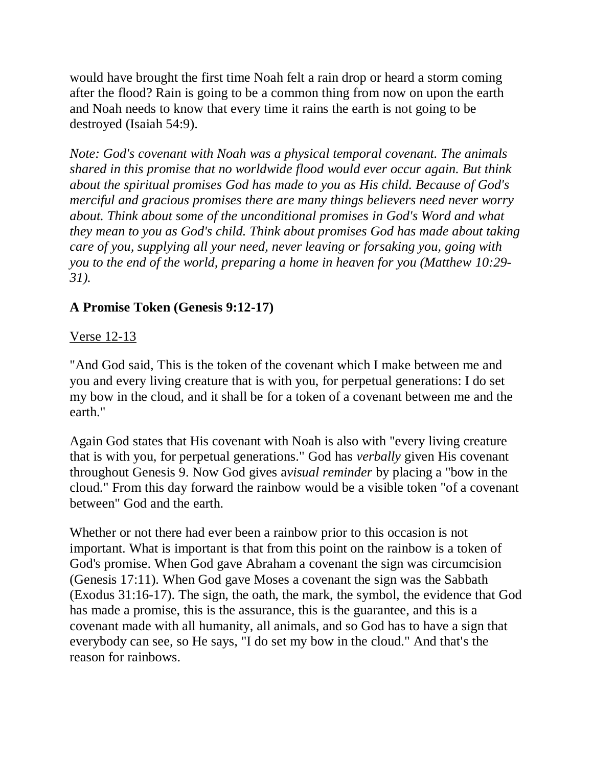would have brought the first time Noah felt a rain drop or heard a storm coming after the flood? Rain is going to be a common thing from now on upon the earth and Noah needs to know that every time it rains the earth is not going to be destroyed (Isaiah 54:9).

*Note: God's covenant with Noah was a physical temporal covenant. The animals shared in this promise that no worldwide flood would ever occur again. But think about the spiritual promises God has made to you as His child. Because of God's merciful and gracious promises there are many things believers need never worry about. Think about some of the unconditional promises in God's Word and what they mean to you as God's child. Think about promises God has made about taking care of you, supplying all your need, never leaving or forsaking you, going with you to the end of the world, preparing a home in heaven for you (Matthew 10:29- 31).*

# **A Promise Token (Genesis 9:12-17)**

### Verse 12-13

"And God said, This is the token of the covenant which I make between me and you and every living creature that is with you, for perpetual generations: I do set my bow in the cloud, and it shall be for a token of a covenant between me and the earth."

Again God states that His covenant with Noah is also with "every living creature that is with you, for perpetual generations." God has *verbally* given His covenant throughout Genesis 9. Now God gives a*visual reminder* by placing a "bow in the cloud." From this day forward the rainbow would be a visible token "of a covenant between" God and the earth.

Whether or not there had ever been a rainbow prior to this occasion is not important. What is important is that from this point on the rainbow is a token of God's promise. When God gave Abraham a covenant the sign was circumcision (Genesis 17:11). When God gave Moses a covenant the sign was the Sabbath (Exodus 31:16-17). The sign, the oath, the mark, the symbol, the evidence that God has made a promise, this is the assurance, this is the guarantee, and this is a covenant made with all humanity, all animals, and so God has to have a sign that everybody can see, so He says, "I do set my bow in the cloud." And that's the reason for rainbows.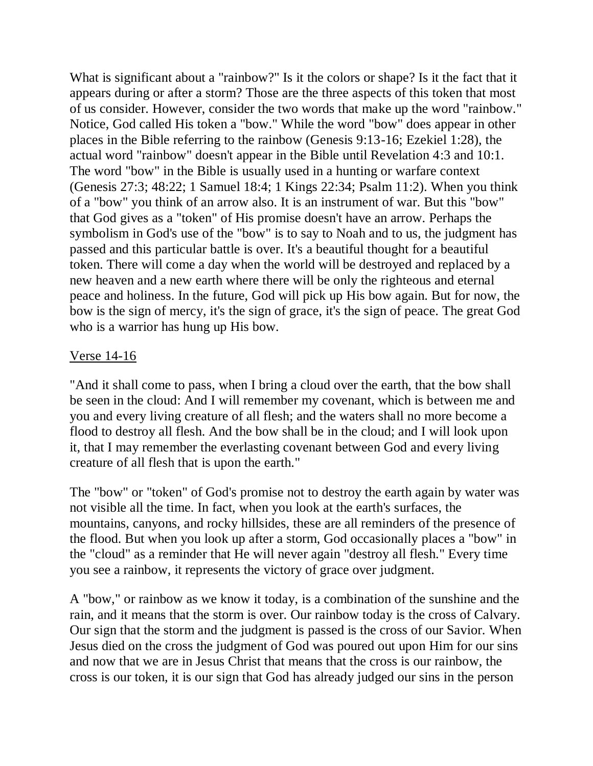What is significant about a "rainbow?" Is it the colors or shape? Is it the fact that it appears during or after a storm? Those are the three aspects of this token that most of us consider. However, consider the two words that make up the word "rainbow." Notice, God called His token a "bow." While the word "bow" does appear in other places in the Bible referring to the rainbow (Genesis 9:13-16; Ezekiel 1:28), the actual word "rainbow" doesn't appear in the Bible until Revelation 4:3 and 10:1. The word "bow" in the Bible is usually used in a hunting or warfare context (Genesis 27:3; 48:22; 1 Samuel 18:4; 1 Kings 22:34; Psalm 11:2). When you think of a "bow" you think of an arrow also. It is an instrument of war. But this "bow" that God gives as a "token" of His promise doesn't have an arrow. Perhaps the symbolism in God's use of the "bow" is to say to Noah and to us, the judgment has passed and this particular battle is over. It's a beautiful thought for a beautiful token. There will come a day when the world will be destroyed and replaced by a new heaven and a new earth where there will be only the righteous and eternal peace and holiness. In the future, God will pick up His bow again. But for now, the bow is the sign of mercy, it's the sign of grace, it's the sign of peace. The great God who is a warrior has hung up His bow.

#### Verse 14-16

"And it shall come to pass, when I bring a cloud over the earth, that the bow shall be seen in the cloud: And I will remember my covenant, which is between me and you and every living creature of all flesh; and the waters shall no more become a flood to destroy all flesh. And the bow shall be in the cloud; and I will look upon it, that I may remember the everlasting covenant between God and every living creature of all flesh that is upon the earth."

The "bow" or "token" of God's promise not to destroy the earth again by water was not visible all the time. In fact, when you look at the earth's surfaces, the mountains, canyons, and rocky hillsides, these are all reminders of the presence of the flood. But when you look up after a storm, God occasionally places a "bow" in the "cloud" as a reminder that He will never again "destroy all flesh." Every time you see a rainbow, it represents the victory of grace over judgment.

A "bow," or rainbow as we know it today, is a combination of the sunshine and the rain, and it means that the storm is over. Our rainbow today is the cross of Calvary. Our sign that the storm and the judgment is passed is the cross of our Savior. When Jesus died on the cross the judgment of God was poured out upon Him for our sins and now that we are in Jesus Christ that means that the cross is our rainbow, the cross is our token, it is our sign that God has already judged our sins in the person